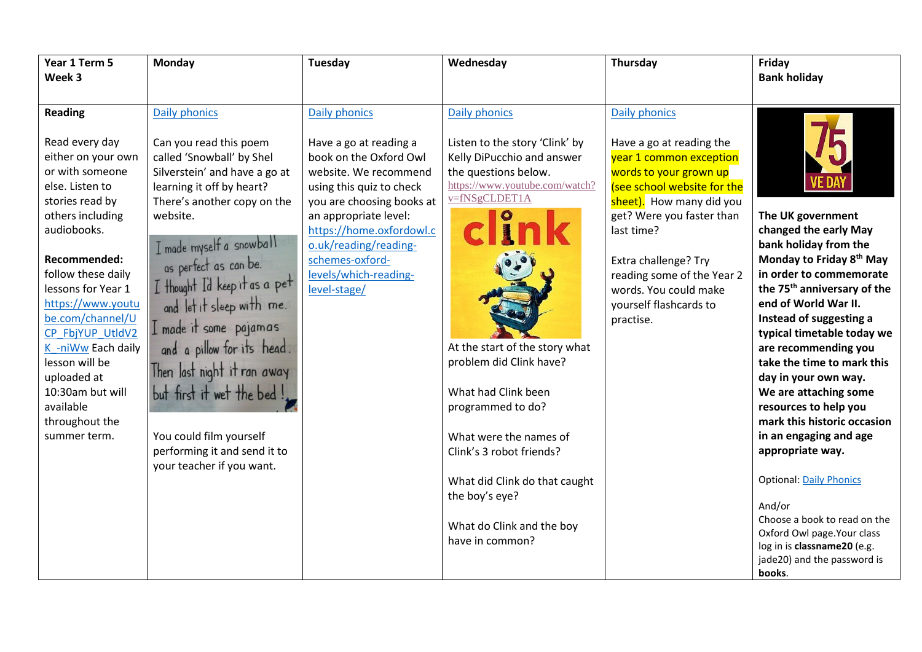| Year 1 Term 5<br>Week 3                                                                                                                                                                                                                                                                                                                                                                               | <b>Monday</b>                                                                                                                                                                                                                                                                                                                                                                                                                                                                                                 | <b>Tuesday</b>                                                                                                                                                                                                                                                                                       | Wednesday                                                                                                                                                                                                                                                                                                                                                                  | Thursday                                                                                                                                                                                                                                                                                                                   | Friday<br><b>Bank holiday</b>                                                                                                                                                                                                                                                                                                                                                                                                                                                                                               |
|-------------------------------------------------------------------------------------------------------------------------------------------------------------------------------------------------------------------------------------------------------------------------------------------------------------------------------------------------------------------------------------------------------|---------------------------------------------------------------------------------------------------------------------------------------------------------------------------------------------------------------------------------------------------------------------------------------------------------------------------------------------------------------------------------------------------------------------------------------------------------------------------------------------------------------|------------------------------------------------------------------------------------------------------------------------------------------------------------------------------------------------------------------------------------------------------------------------------------------------------|----------------------------------------------------------------------------------------------------------------------------------------------------------------------------------------------------------------------------------------------------------------------------------------------------------------------------------------------------------------------------|----------------------------------------------------------------------------------------------------------------------------------------------------------------------------------------------------------------------------------------------------------------------------------------------------------------------------|-----------------------------------------------------------------------------------------------------------------------------------------------------------------------------------------------------------------------------------------------------------------------------------------------------------------------------------------------------------------------------------------------------------------------------------------------------------------------------------------------------------------------------|
| <b>Reading</b><br>Read every day<br>either on your own<br>or with someone<br>else. Listen to<br>stories read by<br>others including<br>audiobooks.<br>Recommended:<br>follow these daily<br>lessons for Year 1<br>https://www.youtu<br>be.com/channel/U<br>CP FbjYUP UtldV2<br>K -niWw Each daily<br>lesson will be<br>uploaded at<br>10:30am but will<br>available<br>throughout the<br>summer term. | Daily phonics<br>Can you read this poem<br>called 'Snowball' by Shel<br>Silverstein' and have a go at<br>learning it off by heart?<br>There's another copy on the<br>website.<br>I made myself a snowball<br>as perfect as can be.<br>I thought I'd keep it as a pet<br>and let it sleep with me.<br>I made it some pajamas<br>and a pillow for its head.<br>Then last night it ran away<br>but first it wet the bed!<br>You could film yourself<br>performing it and send it to<br>your teacher if you want. | <b>Daily phonics</b><br>Have a go at reading a<br>book on the Oxford Owl<br>website. We recommend<br>using this quiz to check<br>you are choosing books at<br>an appropriate level:<br>https://home.oxfordowl.c<br>o.uk/reading/reading-<br>schemes-oxford-<br>levels/which-reading-<br>level-stage/ | Daily phonics<br>Listen to the story 'Clink' by<br>Kelly DiPucchio and answer<br>the questions below.<br>https://www.youtube.com/watch?<br>v=fNSgCLDET1A<br>At the start of the story what<br>problem did Clink have?<br>What had Clink been<br>programmed to do?<br>What were the names of<br>Clink's 3 robot friends?<br>What did Clink do that caught<br>the boy's eye? | Daily phonics<br>Have a go at reading the<br>year 1 common exception<br>words to your grown up<br>(see school website for the<br>sheet). How many did you<br>get? Were you faster than<br>last time?<br>Extra challenge? Try<br>reading some of the Year 2<br>words. You could make<br>yourself flashcards to<br>practise. | The UK government<br>changed the early May<br>bank holiday from the<br>Monday to Friday 8 <sup>th</sup> May<br>in order to commemorate<br>the 75 <sup>th</sup> anniversary of the<br>end of World War II.<br>Instead of suggesting a<br>typical timetable today we<br>are recommending you<br>take the time to mark this<br>day in your own way.<br>We are attaching some<br>resources to help you<br>mark this historic occasion<br>in an engaging and age<br>appropriate way.<br><b>Optional: Daily Phonics</b><br>And/or |
|                                                                                                                                                                                                                                                                                                                                                                                                       |                                                                                                                                                                                                                                                                                                                                                                                                                                                                                                               |                                                                                                                                                                                                                                                                                                      | What do Clink and the boy<br>have in common?                                                                                                                                                                                                                                                                                                                               |                                                                                                                                                                                                                                                                                                                            | Choose a book to read on the<br>Oxford Owl page. Your class<br>log in is classname20 (e.g.<br>jade20) and the password is<br>books.                                                                                                                                                                                                                                                                                                                                                                                         |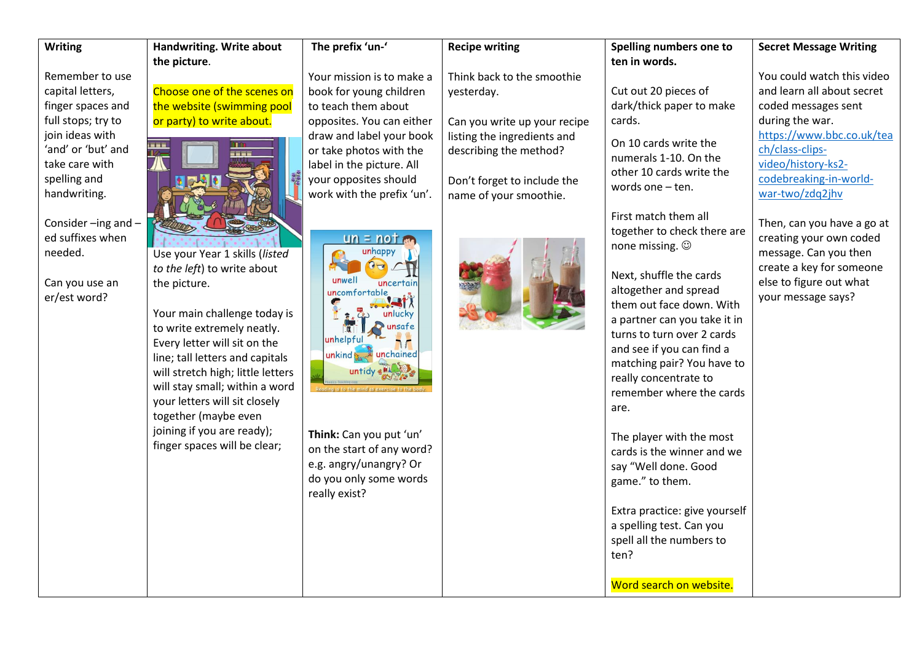| <b>Writing</b>                               | Handwriting. Write about          | The prefix 'un-'           | <b>Recipe writing</b>        | Spelling numbers one to                           | <b>Secret Message Writing</b>                         |
|----------------------------------------------|-----------------------------------|----------------------------|------------------------------|---------------------------------------------------|-------------------------------------------------------|
|                                              | the picture.                      |                            |                              | ten in words.                                     |                                                       |
| Remember to use                              |                                   | Your mission is to make a  | Think back to the smoothie   |                                                   | You could watch this video                            |
| capital letters,                             | Choose one of the scenes on       | book for young children    | yesterday.                   | Cut out 20 pieces of                              | and learn all about secret                            |
| finger spaces and                            | the website (swimming pool        | to teach them about        |                              | dark/thick paper to make                          | coded messages sent                                   |
| full stops; try to                           | or party) to write about.         | opposites. You can either  | Can you write up your recipe | cards.                                            | during the war.                                       |
| join ideas with                              |                                   | draw and label your book   | listing the ingredients and  | On 10 cards write the                             | https://www.bbc.co.uk/tea                             |
| 'and' or 'but' and                           |                                   | or take photos with the    | describing the method?       | numerals 1-10. On the                             | ch/class-clips-                                       |
| take care with                               |                                   | label in the picture. All  |                              | other 10 cards write the                          | video/history-ks2-                                    |
| spelling and                                 |                                   | your opposites should      | Don't forget to include the  | words one - ten.                                  | codebreaking-in-world-                                |
| handwriting.                                 |                                   | work with the prefix 'un'. | name of your smoothie.       |                                                   | war-two/zdq2jhv                                       |
|                                              |                                   |                            |                              | First match them all                              |                                                       |
| Consider $-$ ing and $-$<br>ed suffixes when |                                   | $un = not$                 |                              | together to check there are                       | Then, can you have a go at<br>creating your own coded |
| needed.                                      | Use your Year 1 skills (listed    | unhappy                    |                              | none missing. $\odot$                             | message. Can you then                                 |
|                                              | to the left) to write about       | $O(\tau)$                  |                              |                                                   | create a key for someone                              |
| Can you use an                               | the picture.                      | unwell<br>uncertain        |                              | Next, shuffle the cards                           | else to figure out what                               |
| er/est word?                                 |                                   | uncomfortable              |                              | altogether and spread                             | your message says?                                    |
|                                              | Your main challenge today is      | unlucky                    |                              | them out face down. With                          |                                                       |
|                                              | to write extremely neatly.        | unsafe<br>$\overline{N}$   |                              | a partner can you take it in                      |                                                       |
|                                              | Every letter will sit on the      | unhelpful                  |                              | turns to turn over 2 cards                        |                                                       |
|                                              | line; tall letters and capitals   | unkind to unchained        |                              | and see if you can find a                         |                                                       |
|                                              | will stretch high; little letters | untidy eller               |                              | matching pair? You have to                        |                                                       |
|                                              | will stay small; within a word    |                            |                              | really concentrate to<br>remember where the cards |                                                       |
|                                              | your letters will sit closely     |                            |                              |                                                   |                                                       |
|                                              | together (maybe even              |                            |                              | are.                                              |                                                       |
|                                              | joining if you are ready);        | Think: Can you put 'un'    |                              | The player with the most                          |                                                       |
|                                              | finger spaces will be clear;      | on the start of any word?  |                              | cards is the winner and we                        |                                                       |
|                                              |                                   | e.g. angry/unangry? Or     |                              | say "Well done. Good                              |                                                       |
|                                              |                                   | do you only some words     |                              | game." to them.                                   |                                                       |
|                                              |                                   | really exist?              |                              |                                                   |                                                       |
|                                              |                                   |                            |                              | Extra practice: give yourself                     |                                                       |
|                                              |                                   |                            |                              | a spelling test. Can you                          |                                                       |
|                                              |                                   |                            |                              | spell all the numbers to                          |                                                       |
|                                              |                                   |                            |                              | ten?                                              |                                                       |
|                                              |                                   |                            |                              |                                                   |                                                       |
|                                              |                                   |                            |                              | Word search on website.                           |                                                       |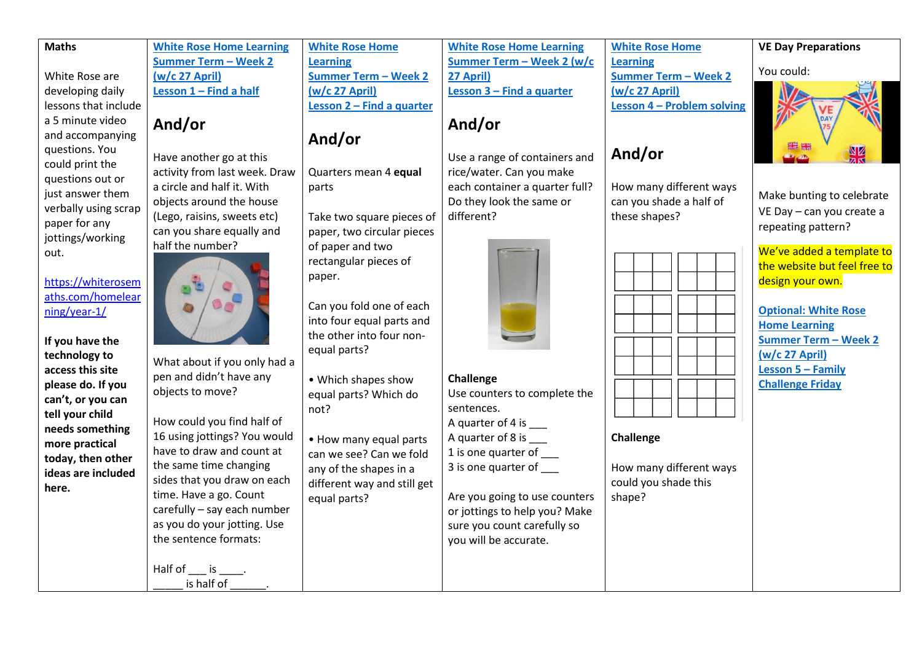## **Maths** White Rose are developing daily lessons that include a 5 minute video and accompanying questions. You could print the questions out or just answer them verbally using scrap paper for any jottings/working out. [https://whiterosem](https://whiterosemaths.com/homelearning/year-1/) [aths.com/homelear](https://whiterosemaths.com/homelearning/year-1/) [ning/year-1/](https://whiterosemaths.com/homelearning/year-1/) **If you have the technology to access this site please do. If you can't, or you can tell your child needs something more practical today, then other ideas are included here. [White Rose Home Learning](https://whiterosemaths.com/homelearning/year-1/)  [Summer Term](https://whiterosemaths.com/homelearning/year-1/) – Week 2 [\(w/c 27 April\)](https://whiterosemaths.com/homelearning/year-1/) Lesson 1 – [Find a half](https://whiterosemaths.com/homelearning/year-1/) And/or**  Have another go at this activity from last week. Draw a circle and half it. With objects around the house (Lego, raisins, sweets etc) can you share equally and half the number? What about if you only had a pen and didn't have any objects to move? How could you find half of 16 using jottings? You would have to draw and count at the same time changing sides that you draw on each time. Have a go. Count carefully – say each number as you do your jotting. Use the sentence formats: Half of  $\_\_$  is  $\_\_$ . is half of **[White Rose Home](https://whiterosemaths.com/homelearning/year-1/)  [Learning](https://whiterosemaths.com/homelearning/year-1/)  [Summer Term](https://whiterosemaths.com/homelearning/year-1/) – Week 2 [\(w/c 27 April\)](https://whiterosemaths.com/homelearning/year-1/) Lesson 2 – [Find a quarter](https://whiterosemaths.com/homelearning/year-1/) And/or**  Quarters mean 4 **equal**  parts Take two square pieces of paper, two circular pieces of paper and two rectangular pieces of paper. Can you fold one of each into four equal parts and the other into four nonequal parts? • Which shapes show equal parts? Which do not? • How many equal parts can we see? Can we fold any of the shapes in a different way and still get equal parts? **[White Rose Home Learning](https://whiterosemaths.com/homelearning/year-1/)  [Summer Term](https://whiterosemaths.com/homelearning/year-1/) – Week 2 (w/c [27 April\)](https://whiterosemaths.com/homelearning/year-1/) Lesson 3 – [Find a quarter](https://whiterosemaths.com/homelearning/year-1/) And/or** Use a range of containers and rice/water. Can you make each container a quarter full? Do they look the same or different? **Challenge** Use counters to complete the sentences. A quarter of 4 is \_\_\_\_ A quarter of 8 is 1 is one quarter of \_\_\_ 3 is one quarter of \_\_\_ Are you going to use counters or jottings to help you? Make sure you count carefully so you will be accurate. **[White Rose Home](https://whiterosemaths.com/homelearning/year-1/)  [Learning](https://whiterosemaths.com/homelearning/year-1/)  [Summer Term](https://whiterosemaths.com/homelearning/year-1/) – Week 2 [\(w/c 27 April\)](https://whiterosemaths.com/homelearning/year-1/) Lesson 4 – [Problem solving](https://whiterosemaths.com/homelearning/year-1/) And/or**  How many different ways can you shade a half of these shapes? **Challenge** How many different ways could you shade this shape? **VE Day Preparations** You could: Make bunting to celebrate VE Day – can you create a repeating pattern? We've added a template to the website but feel free to design your own. **[Optional: White Rose](https://whiterosemaths.com/homelearning/year-1/)  [Home Learning](https://whiterosemaths.com/homelearning/year-1/)  [Summer Term](https://whiterosemaths.com/homelearning/year-1/) – Week 2 [\(w/c 27 April\)](https://whiterosemaths.com/homelearning/year-1/) [Lesson 5](https://whiterosemaths.com/homelearning/year-1/) – Family Challenge Friday**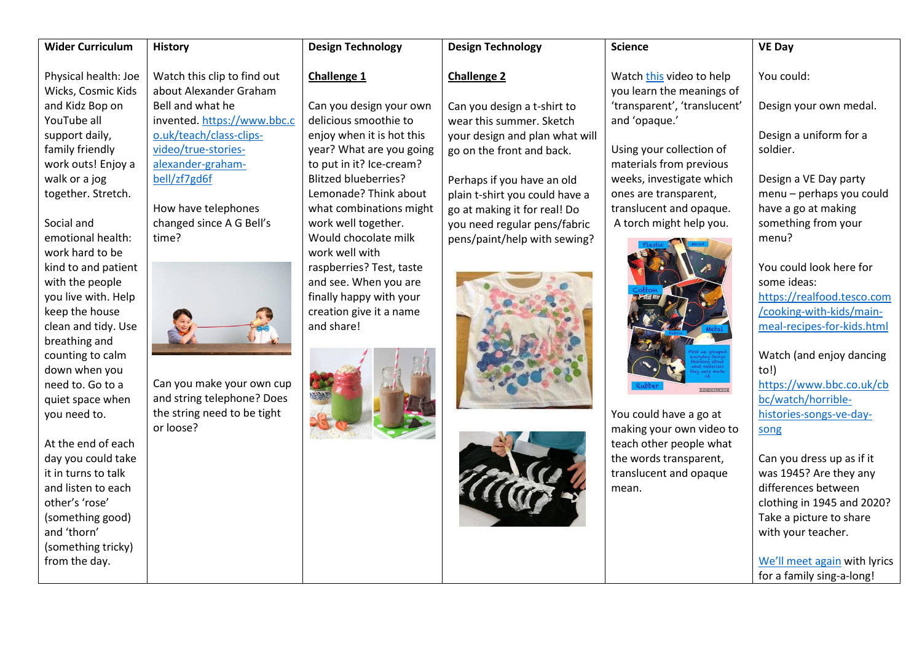| <b>Wider Curriculum</b>                                                                                                                                                                                                                                                                                                                                                                                                                                                                                                         | <b>History</b>                                                                                                                                                                                                                                                                                                                                                     | <b>Design Technology</b>                                                                                                                                                                                                                                                                                                                                                                                                          | <b>Design Technology</b>                                                                                                                                                                                                                                                                                     | <b>Science</b>                                                                                                                                                                                                                                                                                                                                                                                                                      | <b>VE Day</b>                                                                                                                                                                                                                                                                                                                                                                                                                                                                                            |
|---------------------------------------------------------------------------------------------------------------------------------------------------------------------------------------------------------------------------------------------------------------------------------------------------------------------------------------------------------------------------------------------------------------------------------------------------------------------------------------------------------------------------------|--------------------------------------------------------------------------------------------------------------------------------------------------------------------------------------------------------------------------------------------------------------------------------------------------------------------------------------------------------------------|-----------------------------------------------------------------------------------------------------------------------------------------------------------------------------------------------------------------------------------------------------------------------------------------------------------------------------------------------------------------------------------------------------------------------------------|--------------------------------------------------------------------------------------------------------------------------------------------------------------------------------------------------------------------------------------------------------------------------------------------------------------|-------------------------------------------------------------------------------------------------------------------------------------------------------------------------------------------------------------------------------------------------------------------------------------------------------------------------------------------------------------------------------------------------------------------------------------|----------------------------------------------------------------------------------------------------------------------------------------------------------------------------------------------------------------------------------------------------------------------------------------------------------------------------------------------------------------------------------------------------------------------------------------------------------------------------------------------------------|
| Physical health: Joe<br>Wicks, Cosmic Kids<br>and Kidz Bop on<br>YouTube all<br>support daily,<br>family friendly<br>work outs! Enjoy a<br>walk or a jog<br>together. Stretch.<br>Social and<br>emotional health:<br>work hard to be<br>kind to and patient<br>with the people<br>you live with. Help<br>keep the house<br>clean and tidy. Use<br>breathing and<br>counting to calm<br>down when you<br>need to. Go to a<br>quiet space when<br>you need to.<br>At the end of each<br>day you could take<br>it in turns to talk | Watch this clip to find out<br>about Alexander Graham<br>Bell and what he<br>invented. https://www.bbc.c<br>o.uk/teach/class-clips-<br>video/true-stories-<br>alexander-graham-<br>bell/zf7gd6f<br>How have telephones<br>changed since A G Bell's<br>time?<br>Can you make your own cup<br>and string telephone? Does<br>the string need to be tight<br>or loose? | Challenge 1<br>Can you design your own<br>delicious smoothie to<br>enjoy when it is hot this<br>year? What are you going<br>to put in it? Ice-cream?<br><b>Blitzed blueberries?</b><br>Lemonade? Think about<br>what combinations might<br>work well together.<br>Would chocolate milk<br>work well with<br>raspberries? Test, taste<br>and see. When you are<br>finally happy with your<br>creation give it a name<br>and share! | <b>Challenge 2</b><br>Can you design a t-shirt to<br>wear this summer. Sketch<br>your design and plan what will<br>go on the front and back.<br>Perhaps if you have an old<br>plain t-shirt you could have a<br>go at making it for real! Do<br>you need regular pens/fabric<br>pens/paint/help with sewing? | Watch this video to help<br>you learn the meanings of<br>'transparent', 'translucent'<br>and 'opaque.'<br>Using your collection of<br>materials from previous<br>weeks, investigate which<br>ones are transparent,<br>translucent and opaque.<br>A torch might help you.<br><b>PICLONIA</b> GE<br>You could have a go at<br>making your own video to<br>teach other people what<br>the words transparent,<br>translucent and opaque | You could:<br>Design your own medal.<br>Design a uniform for a<br>soldier.<br>Design a VE Day party<br>menu - perhaps you could<br>have a go at making<br>something from your<br>menu?<br>You could look here for<br>some ideas:<br>https://realfood.tesco.com<br>/cooking-with-kids/main-<br>meal-recipes-for-kids.html<br>Watch (and enjoy dancing<br>to!)<br>https://www.bbc.co.uk/cb<br>bc/watch/horrible-<br>histories-songs-ve-day-<br>song<br>Can you dress up as if it<br>was 1945? Are they any |
|                                                                                                                                                                                                                                                                                                                                                                                                                                                                                                                                 |                                                                                                                                                                                                                                                                                                                                                                    |                                                                                                                                                                                                                                                                                                                                                                                                                                   |                                                                                                                                                                                                                                                                                                              |                                                                                                                                                                                                                                                                                                                                                                                                                                     |                                                                                                                                                                                                                                                                                                                                                                                                                                                                                                          |
| and listen to each<br>other's 'rose'<br>(something good)<br>and 'thorn'<br>(something tricky)<br>from the day.                                                                                                                                                                                                                                                                                                                                                                                                                  |                                                                                                                                                                                                                                                                                                                                                                    |                                                                                                                                                                                                                                                                                                                                                                                                                                   |                                                                                                                                                                                                                                                                                                              | mean.                                                                                                                                                                                                                                                                                                                                                                                                                               | differences between<br>clothing in 1945 and 2020?<br>Take a picture to share<br>with your teacher.<br>We'll meet again with lyrics<br>for a family sing-a-long!                                                                                                                                                                                                                                                                                                                                          |